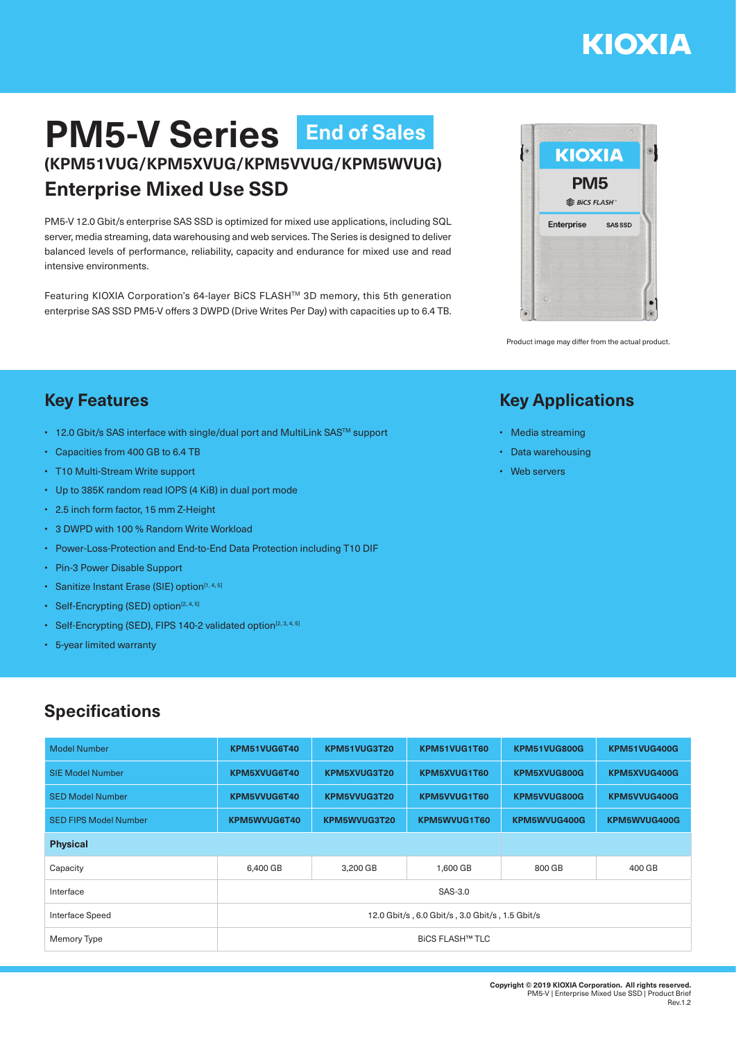# **KIOXIA**

## **PM5-V Series End of Sales(KPM51VUG/KPM5XVUG/KPM5VVUG/KPM5WVUG) Enterprise Mixed Use SSD**

PM5-V 12.0 Gbit/s enterprise SAS SSD is optimized for mixed use applications, including SQL server, media streaming, data warehousing and web services. The Series is designed to deliver balanced levels of performance, reliability, capacity and endurance for mixed use and read intensive environments.

Featuring KIOXIA Corporation's 64-layer BiCS FLASHTM 3D memory, this 5th generation enterprise SAS SSD PM5-V offers 3 DWPD (Drive Writes Per Day) with capacities up to 6.4 TB.



Product image may differ from the actual product.

#### **Key Applications**

- Media streaming
- Data warehousing
- Web servers

#### **Key Features**

- 12.0 Gbit/s SAS interface with single/dual port and MultiLink SAS™ support
- Capacities from 400 GB to 6.4 TB
- T10 Multi-Stream Write support
- Up to 385K random read IOPS (4 KiB) in dual port mode
- 2.5 inch form factor, 15 mm Z-Height
- 3 DWPD with 100 % Random Write Workload
- Power-Loss-Protection and End-to-End Data Protection including T10 DIF
- Pin-3 Power Disable Support
- Sanitize Instant Erase (SIE) option<sup>[1, 4, 5]</sup>
- Self-Encrypting (SED) option $[2, 4, 5]$
- Self-Encrypting (SED), FIPS 140-2 validated option<sup>[2, 3, 4, 5]</sup>
- 5-year limited warranty

#### **Specifications**

| <b>Model Number</b>          | KPM51VUG6T40                                    | KPM51VUG3T20 | KPM51VUG1T60 | KPM51VUG800G | KPM51VUG400G |  |  |
|------------------------------|-------------------------------------------------|--------------|--------------|--------------|--------------|--|--|
| <b>SIE Model Number</b>      | KPM5XVUG6T40                                    | KPM5XVUG3T20 | KPM5XVUG1T60 | KPM5XVUG800G | KPM5XVUG400G |  |  |
| <b>SED Model Number</b>      | KPM5VVUG6T40                                    | KPM5VVUG3T20 | KPM5VVUG1T60 | KPM5VVUG800G | KPM5VVUG400G |  |  |
| <b>SED FIPS Model Number</b> | KPM5WVUG6T40                                    | KPM5WVUG3T20 | KPM5WVUG1T60 | KPM5WVUG400G | KPM5WVUG400G |  |  |
| <b>Physical</b>              |                                                 |              |              |              |              |  |  |
| Capacity                     | 6,400 GB                                        | 3,200 GB     | 1,600 GB     | 800 GB       | 400 GB       |  |  |
| Interface                    | SAS-3.0                                         |              |              |              |              |  |  |
| Interface Speed              | 12.0 Gbit/s, 6.0 Gbit/s, 3.0 Gbit/s, 1.5 Gbit/s |              |              |              |              |  |  |
| Memory Type                  | <b>BICS FLASH™ TLC</b>                          |              |              |              |              |  |  |